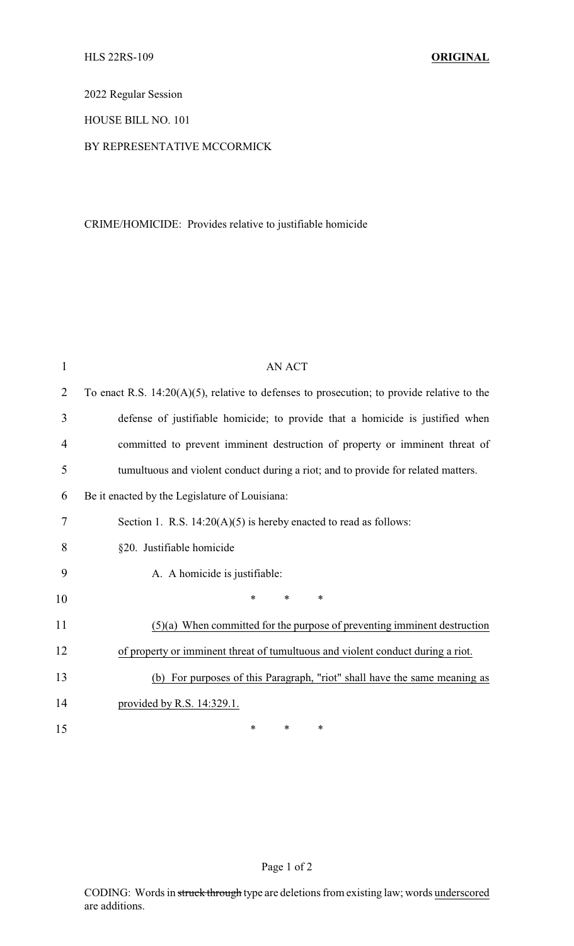2022 Regular Session

HOUSE BILL NO. 101

## BY REPRESENTATIVE MCCORMICK

## CRIME/HOMICIDE: Provides relative to justifiable homicide

| $\mathbf{1}$   | <b>AN ACT</b>                                                                                 |  |  |
|----------------|-----------------------------------------------------------------------------------------------|--|--|
| $\overline{2}$ | To enact R.S. $14:20(A)(5)$ , relative to defenses to prosecution; to provide relative to the |  |  |
| 3              | defense of justifiable homicide; to provide that a homicide is justified when                 |  |  |
| 4              | committed to prevent imminent destruction of property or imminent threat of                   |  |  |
| 5              | tumultuous and violent conduct during a riot; and to provide for related matters.             |  |  |
| 6              | Be it enacted by the Legislature of Louisiana:                                                |  |  |
| 7              | Section 1. R.S. $14:20(A)(5)$ is hereby enacted to read as follows:                           |  |  |
| 8              | §20. Justifiable homicide                                                                     |  |  |
| 9              | A. A homicide is justifiable:                                                                 |  |  |
| 10             | $\ast$<br>*<br>$\ast$                                                                         |  |  |
| 11             | $(5)(a)$ When committed for the purpose of preventing imminent destruction                    |  |  |
| 12             | of property or imminent threat of tumultuous and violent conduct during a riot.               |  |  |
| 13             | (b) For purposes of this Paragraph, "riot" shall have the same meaning as                     |  |  |
| 14             | provided by R.S. 14:329.1.                                                                    |  |  |
| 15             | *<br>*<br>∗                                                                                   |  |  |